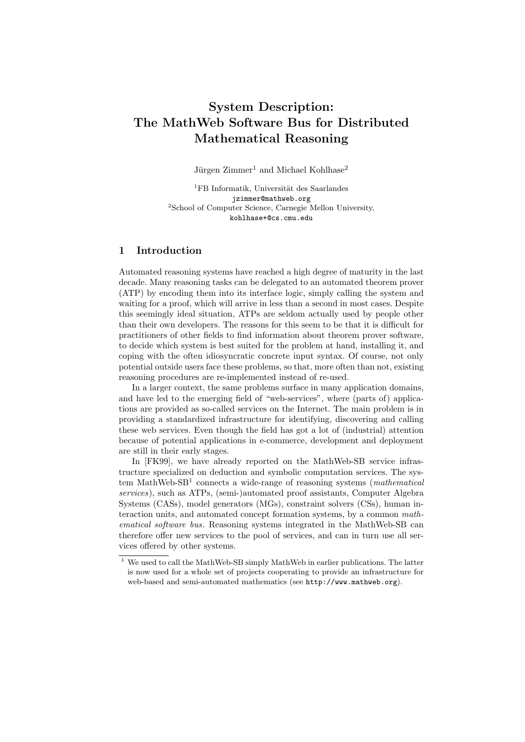# System Description: The MathWeb Software Bus for Distributed Mathematical Reasoning

Jürgen  $Z\text{immer}^1$  and Michael Kohlhase<sup>2</sup>

 ${}^{1}FB$  Informatik, Universität des Saarlandes jzimmer@mathweb.org <sup>2</sup>School of Computer Science, Carnegie Mellon University, kohlhase+@cs.cmu.edu

# 1 Introduction

Automated reasoning systems have reached a high degree of maturity in the last decade. Many reasoning tasks can be delegated to an automated theorem prover (ATP) by encoding them into its interface logic, simply calling the system and waiting for a proof, which will arrive in less than a second in most cases. Despite this seemingly ideal situation, ATPs are seldom actually used by people other than their own developers. The reasons for this seem to be that it is difficult for practitioners of other fields to find information about theorem prover software, to decide which system is best suited for the problem at hand, installing it, and coping with the often idiosyncratic concrete input syntax. Of course, not only potential outside users face these problems, so that, more often than not, existing reasoning procedures are re-implemented instead of re-used.

In a larger context, the same problems surface in many application domains, and have led to the emerging field of "web-services", where (parts of) applications are provided as so-called services on the Internet. The main problem is in providing a standardized infrastructure for identifying, discovering and calling these web services. Even though the field has got a lot of (industrial) attention because of potential applications in e-commerce, development and deployment are still in their early stages.

In [FK99], we have already reported on the MathWeb-SB service infrastructure specialized on deduction and symbolic computation services. The system MathWeb-SB<sup>1</sup> connects a wide-range of reasoning systems (*mathematical* services), such as ATPs, (semi-)automated proof assistants, Computer Algebra Systems (CASs), model generators (MGs), constraint solvers (CSs), human interaction units, and automated concept formation systems, by a common mathematical software bus. Reasoning systems integrated in the MathWeb-SB can therefore offer new services to the pool of services, and can in turn use all services offered by other systems.

 $1$  We used to call the MathWeb-SB simply MathWeb in earlier publications. The latter is now used for a whole set of projects cooperating to provide an infrastructure for web-based and semi-automated mathematics (see http://www.mathweb.org).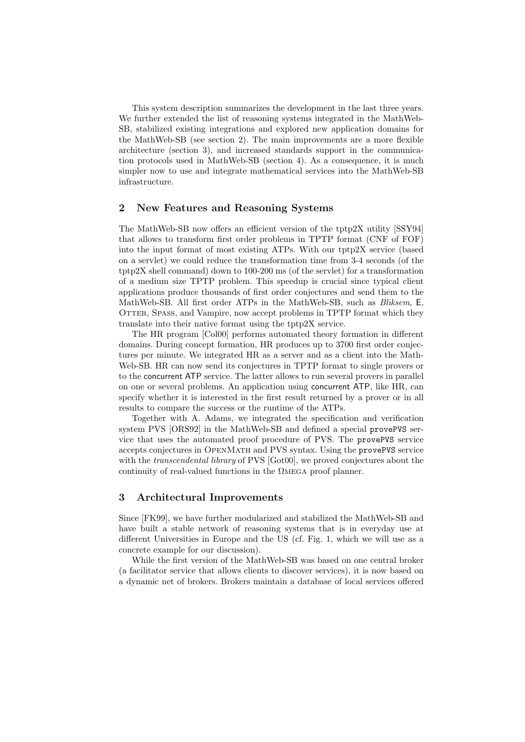This system description summarizes the development in the last three years. We further extended the list of reasoning systems integrated in the MathWeb-SB, stabilized existing integrations and explored new application domains for the MathWeb-SB (see section 2). The main improvements are a more flexible architecture (section 3), and increased standards support in the communication protocols used in MathWeb-SB (section 4). As a consequence, it is much simpler now to use and integrate mathematical services into the MathWeb-SB infrastructure.

#### 2 New Features and Reasoning Systems

The MathWeb-SB now offers an efficient version of the tptp2X utility [SSY94] that allows to transform first order problems in TPTP format (CNF of FOF) into the input format of most existing ATPs. With our tptp2X service (based on a servlet) we could reduce the transformation time from 3-4 seconds (of the tptp2X shell command) down to 100-200 ms (of the servlet) for a transformation of a medium size TPTP problem. This speedup is crucial since typical client applications produce thousands of first order conjectures and send them to the MathWeb-SB. All first order ATPs in the MathWeb-SB, such as Bliksem, E, OTTER, SPASS, and Vampire, now accept problems in TPTP format which they translate into their native format using the tptp2X service.

The HR program [Col00] performs automated theory formation in different domains. During concept formation, HR produces up to 3700 first order conjectures per minute. We integrated HR as a server and as a client into the Math-Web-SB. HR can now send its conjectures in TPTP format to single provers or to the concurrent ATP service. The latter allows to run several provers in parallel on one or several problems. An application using concurrent ATP, like HR, can specify whether it is interested in the first result returned by a prover or in all results to compare the success or the runtime of the ATPs.

Together with A. Adams, we integrated the specification and verification system PVS [ORS92] in the MathWeb-SB and defined a special provePVS service that uses the automated proof procedure of PVS. The provePVS service accepts conjectures in OpenMath and PVS syntax. Using the provePVS service with the *transcendental library* of PVS [Got00], we proved conjectures about the continuity of real-valued functions in the  $\Omega$ MEGA proof planner.

#### 3 Architectural Improvements

Since [FK99], we have further modularized and stabilized the MathWeb-SB and have built a stable network of reasoning systems that is in everyday use at different Universities in Europe and the US (cf. Fig. 1, which we will use as a concrete example for our discussion).

While the first version of the MathWeb-SB was based on one central broker (a facilitator service that allows clients to discover services), it is now based on a dynamic net of brokers. Brokers maintain a database of local services offered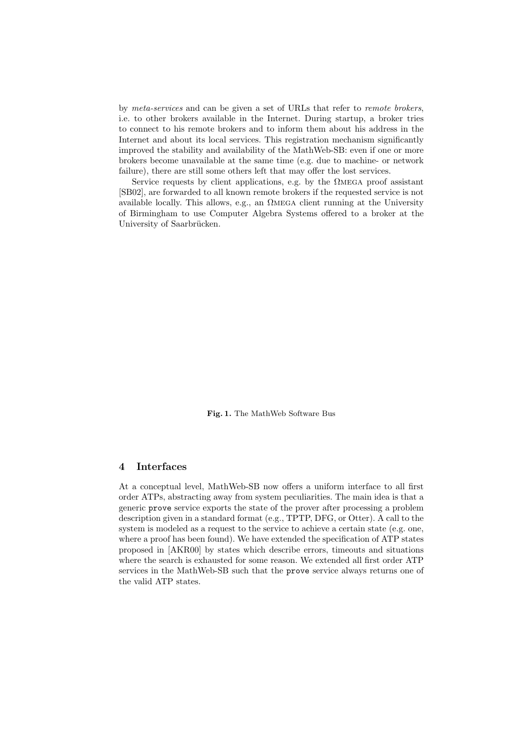by meta-services and can be given a set of URLs that refer to remote brokers, i.e. to other brokers available in the Internet. During startup, a broker tries to connect to his remote brokers and to inform them about his address in the Internet and about its local services. This registration mechanism significantly improved the stability and availability of the MathWeb-SB: even if one or more brokers become unavailable at the same time (e.g. due to machine- or network failure), there are still some others left that may offer the lost services.

Service requests by client applications, e.g. by the  $\Omega$ MEGA proof assistant [SB02], are forwarded to all known remote brokers if the requested service is not available locally. This allows, e.g., an Ωmega client running at the University of Birmingham to use Computer Algebra Systems offered to a broker at the University of Saarbrücken.

Fig. 1. The MathWeb Software Bus

# 4 Interfaces

At a conceptual level, MathWeb-SB now offers a uniform interface to all first order ATPs, abstracting away from system peculiarities. The main idea is that a generic prove service exports the state of the prover after processing a problem description given in a standard format (e.g., TPTP, DFG, or Otter). A call to the system is modeled as a request to the service to achieve a certain state (e.g. one, where a proof has been found). We have extended the specification of ATP states proposed in [AKR00] by states which describe errors, timeouts and situations where the search is exhausted for some reason. We extended all first order ATP services in the MathWeb-SB such that the prove service always returns one of the valid ATP states.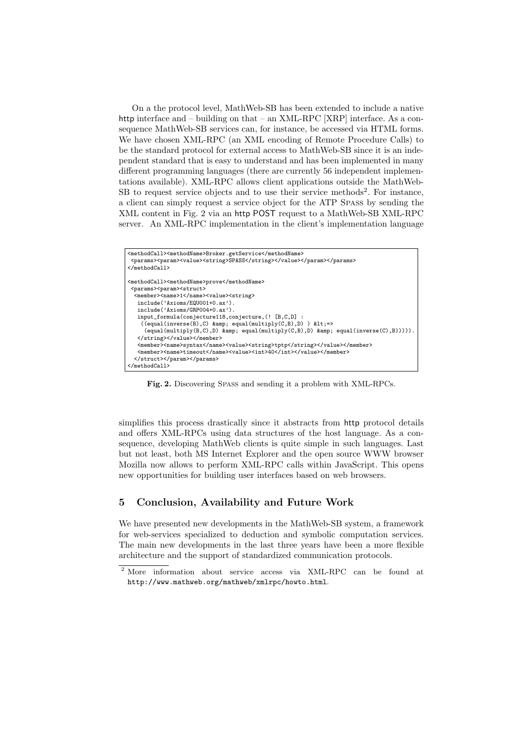On a the protocol level, MathWeb-SB has been extended to include a native http interface and – building on that – an XML-RPC [XRP] interface. As a consequence MathWeb-SB services can, for instance, be accessed via HTML forms. We have chosen XML-RPC (an XML encoding of Remote Procedure Calls) to be the standard protocol for external access to MathWeb-SB since it is an independent standard that is easy to understand and has been implemented in many different programming languages (there are currently 56 independent implementations available). XML-RPC allows client applications outside the MathWeb-SB to request service objects and to use their service methods<sup>2</sup>. For instance, a client can simply request a service object for the ATP Spass by sending the XML content in Fig. 2 via an http POST request to a MathWeb-SB XML-RPC server. An XML-RPC implementation in the client's implementation language

```
<methodCall><methodName>Broker.getService</methodName>
<params><param><value><string>SPASS</string></value></param></params>
</methodCall>
<methodCall><methodName>prove</methodName>
<params><param><struct>
  .<br><member><name>1</name><value><string>
  include('Axioms/EQU001+0.ax').
  include('Axioms/GRP004+0.ax').
  input formula(conjecture118,conjecture,(! [B,C,D]
    ((equal(inverse(B), C) & amp; equal(multiply(C,B),D)) & lt; =>
     (\text{equal}( \text{multiply}(B,C),D) \text{ kamp}; \text{equal}( \text{multiply}(C,B),D) \text{ kamp}; \text{equal}( \text{inverse}(C),B))))).</string></value></member>
   <member><name>syntax</name><value><string>tptp</string></value></member>
   <member><name>timeout</name><value><int>40</int></value></member>
  </struct></param></params>
</methodCall>
```
Fig. 2. Discovering Spass and sending it a problem with XML-RPCs.

simplifies this process drastically since it abstracts from http protocol details and offers XML-RPCs using data structures of the host language. As a consequence, developing MathWeb clients is quite simple in such languages. Last but not least, both MS Internet Explorer and the open source WWW browser Mozilla now allows to perform XML-RPC calls within JavaScript. This opens new opportunities for building user interfaces based on web browsers.

## 5 Conclusion, Availability and Future Work

We have presented new developments in the MathWeb-SB system, a framework for web-services specialized to deduction and symbolic computation services. The main new developments in the last three years have been a more flexible architecture and the support of standardized communication protocols.

<sup>2</sup> More information about service access via XML-RPC can be found at http://www.mathweb.org/mathweb/xmlrpc/howto.html.